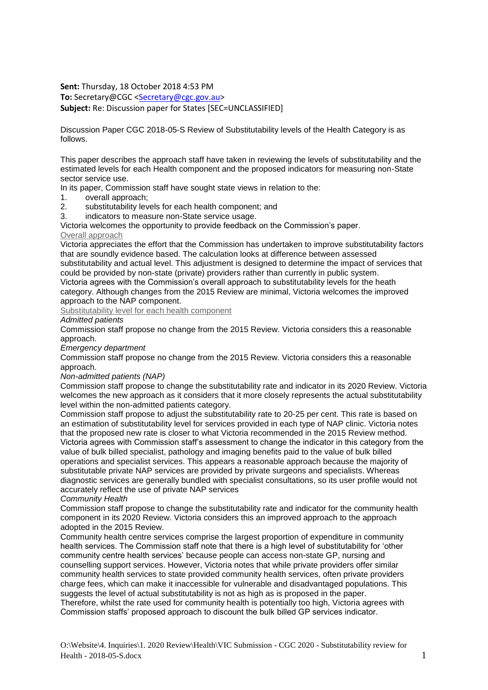**Sent:** Thursday, 18 October 2018 4:53 PM

**To:** Secretary@CGC [<Secretary@cgc.gov.au>](mailto:Secretary@cgc.gov.au)

**Subject:** Re: Discussion paper for States [SEC=UNCLASSIFIED]

Discussion Paper CGC 2018-05-S Review of Substitutability levels of the Health Category is as follows.

This paper describes the approach staff have taken in reviewing the levels of substitutability and the estimated levels for each Health component and the proposed indicators for measuring non-State sector service use.

In its paper, Commission staff have sought state views in relation to the:

- 1. overall approach;
- 2. substitutability levels for each health component; and
- 3. indicators to measure non-State service usage.

Victoria welcomes the opportunity to provide feedback on the Commission's paper. Overall approach

Victoria appreciates the effort that the Commission has undertaken to improve substitutability factors that are soundly evidence based. The calculation looks at difference between assessed substitutability and actual level. This adjustment is designed to determine the impact of services that

could be provided by non-state (private) providers rather than currently in public system. Victoria agrees with the Commission's overall approach to substitutability levels for the heath

category. Although changes from the 2015 Review are minimal, Victoria welcomes the improved approach to the NAP component.

Substitutability level for each health component

## *Admitted patients*

Commission staff propose no change from the 2015 Review. Victoria considers this a reasonable approach.

*Emergency department*

Commission staff propose no change from the 2015 Review. Victoria considers this a reasonable approach.

## *Non-admitted patients (NAP)*

Commission staff propose to change the substitutability rate and indicator in its 2020 Review. Victoria welcomes the new approach as it considers that it more closely represents the actual substitutability level within the non-admitted patients category.

Commission staff propose to adjust the substitutability rate to 20-25 per cent. This rate is based on an estimation of substitutability level for services provided in each type of NAP clinic. Victoria notes that the proposed new rate is closer to what Victoria recommended in the 2015 Review method. Victoria agrees with Commission staff's assessment to change the indicator in this category from the value of bulk billed specialist, pathology and imaging benefits paid to the value of bulk billed operations and specialist services. This appears a reasonable approach because the majority of substitutable private NAP services are provided by private surgeons and specialists. Whereas diagnostic services are generally bundled with specialist consultations, so its user profile would not accurately reflect the use of private NAP services

*Community Health*

Commission staff propose to change the substitutability rate and indicator for the community health component in its 2020 Review. Victoria considers this an improved approach to the approach adopted in the 2015 Review.

Community health centre services comprise the largest proportion of expenditure in community health services. The Commission staff note that there is a high level of substitutability for 'other community centre health services' because people can access non-state GP, nursing and counselling support services. However, Victoria notes that while private providers offer similar community health services to state provided community health services, often private providers charge fees, which can make it inaccessible for vulnerable and disadvantaged populations. This suggests the level of actual substitutability is not as high as is proposed in the paper.

Therefore, whilst the rate used for community health is potentially too high, Victoria agrees with Commission staffs' proposed approach to discount the bulk billed GP services indicator.